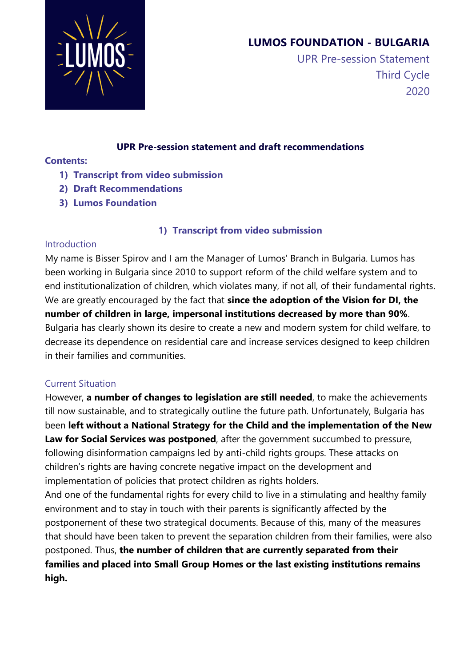

# **LUMOS FOUNDATION - BULGARIA**

 UPR Pre-session Statement Third Cycle 2020

#### **UPR Pre-session statement and draft recommendations**

### **Contents:**

- **1) Transcript from video submission**
- **2) Draft Recommendations**
- **3) Lumos Foundation**

## **1) Transcript from video submission**

## Introduction

My name is Bisser Spirov and I am the Manager of Lumos' Branch in Bulgaria. Lumos has been working in Bulgaria since 2010 to support reform of the child welfare system and to end institutionalization of children, which violates many, if not all, of their fundamental rights. We are greatly encouraged by the fact that **since the adoption of the Vision for DI, the number of children in large, impersonal institutions decreased by more than 90%**. Bulgaria has clearly shown its desire to create a new and modern system for child welfare, to decrease its dependence on residential care and increase services designed to keep children in their families and communities.

## Current Situation

However, **a number of changes to legislation are still needed**, to make the achievements till now sustainable, and to strategically outline the future path. Unfortunately, Bulgaria has been **left without a National Strategy for the Child and the implementation of the New Law for Social Services was postponed**, after the government succumbed to pressure, following disinformation campaigns led by anti-child rights groups. These attacks on children's rights are having concrete negative impact on the development and implementation of policies that protect children as rights holders.

And one of the fundamental rights for every child to live in a stimulating and healthy family environment and to stay in touch with their parents is significantly affected by the postponement of these two strategical documents. Because of this, many of the measures that should have been taken to prevent the separation children from their families, were also postponed. Thus, **the number of children that are currently separated from their families and placed into Small Group Homes or the last existing institutions remains high.**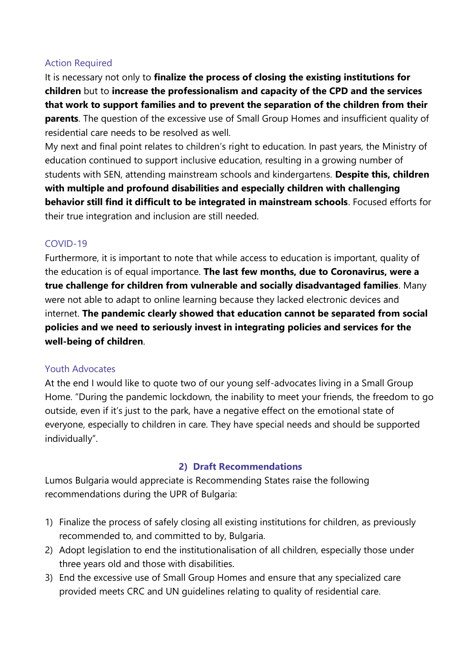#### Action Required

It is necessary not only to **finalize the process of closing the existing institutions for children** but to **increase the professionalism and capacity of the CPD and the services that work to support families and to prevent the separation of the children from their parents**. The question of the excessive use of Small Group Homes and insufficient quality of residential care needs to be resolved as well.

My next and final point relates to children's right to education. In past years, the Ministry of education continued to support inclusive education, resulting in a growing number of students with SEN, attending mainstream schools and kindergartens. **Despite this, children with multiple and profound disabilities and especially children with challenging behavior still find it difficult to be integrated in mainstream schools**. Focused efforts for their true integration and inclusion are still needed.

## COVID-19

Furthermore, it is important to note that while access to education is important, quality of the education is of equal importance. **The last few months, due to Coronavirus, were a true challenge for children from vulnerable and socially disadvantaged families**. Many were not able to adapt to online learning because they lacked electronic devices and internet. **The pandemic clearly showed that education cannot be separated from social policies and we need to seriously invest in integrating policies and services for the well-being of children**.

#### Youth Advocates

At the end I would like to quote two of our young self-advocates living in a Small Group Home. "During the pandemic lockdown, the inability to meet your friends, the freedom to go outside, even if it's just to the park, have a negative effect on the emotional state of everyone, especially to children in care. They have special needs and should be supported individually".

#### **2) Draft Recommendations**

Lumos Bulgaria would appreciate is Recommending States raise the following recommendations during the UPR of Bulgaria:

- 1) Finalize the process of safely closing all existing institutions for children, as previously recommended to, and committed to by, Bulgaria.
- 2) Adopt legislation to end the institutionalisation of all children, especially those under three years old and those with disabilities.
- 3) End the excessive use of Small Group Homes and ensure that any specialized care provided meets CRC and UN guidelines relating to quality of residential care.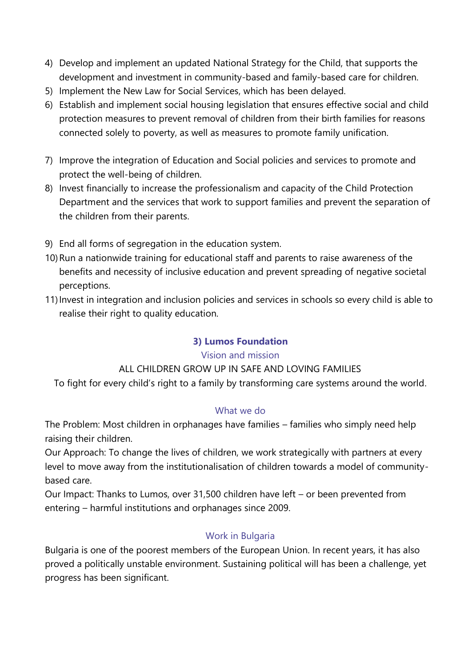- 4) Develop and implement an updated National Strategy for the Child, that supports the development and investment in community-based and family-based care for children.
- 5) Implement the New Law for Social Services, which has been delayed.
- 6) Establish and implement social housing legislation that ensures effective social and child protection measures to prevent removal of children from their birth families for reasons connected solely to poverty, as well as measures to promote family unification.
- 7) Improve the integration of Education and Social policies and services to promote and protect the well-being of children.
- 8) Invest financially to increase the professionalism and capacity of the Child Protection Department and the services that work to support families and prevent the separation of the children from their parents.
- 9) End all forms of segregation in the education system.
- 10)Run a nationwide training for educational staff and parents to raise awareness of the benefits and necessity of inclusive education and prevent spreading of negative societal perceptions.
- 11)Invest in integration and inclusion policies and services in schools so every child is able to realise their right to quality education.

#### **3) Lumos Foundation**

#### Vision and mission

#### ALL CHILDREN GROW UP IN SAFE AND LOVING FAMILIES

To fight for every child's right to a family by transforming care systems around the world.

#### What we do

The Problem: Most children in orphanages have families – families who simply need help raising their children.

Our Approach: To change the lives of children, we work strategically with partners at every level to move away from the institutionalisation of children towards a model of communitybased care.

Our Impact: Thanks to Lumos, over 31,500 children have left – or been prevented from entering – harmful institutions and orphanages since 2009.

#### Work in Bulgaria

Bulgaria is one of the poorest members of the European Union. In recent years, it has also proved a politically unstable environment. Sustaining political will has been a challenge, yet progress has been significant.